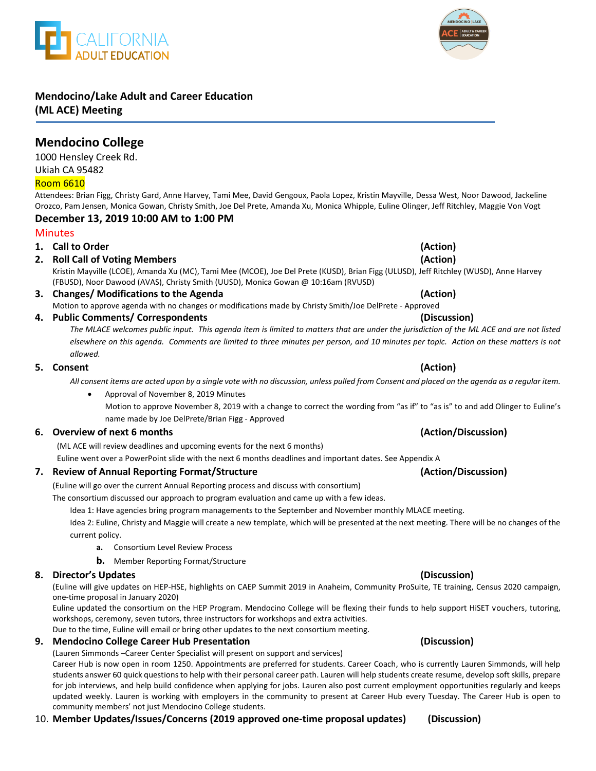# **Mendocino/Lake Adult and Career Education**

**(ML ACE) Meeting**

## **Mendocino College**

1000 Hensley Creek Rd. Ukiah CA 95482

### Room 6610

Attendees: Brian Figg, Christy Gard, Anne Harvey, Tami Mee, David Gengoux, Paola Lopez, Kristin Mayville, Dessa West, Noor Dawood, Jackeline Orozco, Pam Jensen, Monica Gowan, Christy Smith, Joe Del Prete, Amanda Xu, Monica Whipple, Euline Olinger, Jeff Ritchley, Maggie Von Vogt

### **December 13, 2019 10:00 AM to 1:00 PM**

### **Minutes**

### **1. Call to Order (Action)**

**2. Roll Call of Voting Members (Action)**

Kristin Mayville (LCOE), Amanda Xu (MC), Tami Mee (MCOE), Joe Del Prete (KUSD), Brian Figg (ULUSD), Jeff Ritchley (WUSD), Anne Harvey (FBUSD), Noor Dawood (AVAS), Christy Smith (UUSD), Monica Gowan @ 10:16am (RVUSD)

### **3. Changes/ Modifications to the Agenda (Action)** Motion to approve agenda with no changes or modifications made by Christy Smith/Joe DelPrete - Approved

**4. Public Comments/ Correspondents (Discussion)**

*The MLACE welcomes public input. This agenda item is limited to matters that are under the jurisdiction of the ML ACE and are not listed elsewhere on this agenda. Comments are limited to three minutes per person, and 10 minutes per topic. Action on these matters is not allowed.*

### **5. Consent (Action)**

*All consent items are acted upon by a single vote with no discussion, unless pulled from Consent and placed on the agenda as a regular item.* 

 Approval of November 8, 2019 Minutes Motion to approve November 8, 2019 with a change to correct the wording from "as if" to "as is" to and add Olinger to Euline's name made by Joe DelPrete/Brian Figg - Approved

### **6. Overview of next 6 months (Action/Discussion)**

(ML ACE will review deadlines and upcoming events for the next 6 months)

Euline went over a PowerPoint slide with the next 6 months deadlines and important dates. See Appendix A

### **7. Review of Annual Reporting Format/Structure (Action/Discussion)**

(Euline will go over the current Annual Reporting process and discuss with consortium)

The consortium discussed our approach to program evaluation and came up with a few ideas.

Idea 1: Have agencies bring program managements to the September and November monthly MLACE meeting.

Idea 2: Euline, Christy and Maggie will create a new template, which will be presented at the next meeting. There will be no changes of the current policy.

- **a.** Consortium Level Review Process
- **b.** Member Reporting Format/Structure

### **8. Director's Updates (Discussion)**

(Euline will give updates on HEP-HSE, highlights on CAEP Summit 2019 in Anaheim, Community ProSuite, TE training, Census 2020 campaign, one-time proposal in January 2020)

Euline updated the consortium on the HEP Program. Mendocino College will be flexing their funds to help support HiSET vouchers, tutoring, workshops, ceremony, seven tutors, three instructors for workshops and extra activities.

Due to the time, Euline will email or bring other updates to the next consortium meeting.

### **9. Mendocino College Career Hub Presentation (Discussion)**

(Lauren Simmonds –Career Center Specialist will present on support and services)

Career Hub is now open in room 1250. Appointments are preferred for students. Career Coach, who is currently Lauren Simmonds, will help students answer 60 quick questions to help with their personal career path. Lauren will help students create resume, develop soft skills, prepare for job interviews, and help build confidence when applying for jobs. Lauren also post current employment opportunities regularly and keeps updated weekly. Lauren is working with employers in the community to present at Career Hub every Tuesday. The Career Hub is open to community members' not just Mendocino College students.

10. **Member Updates/Issues/Concerns (2019 approved one-time proposal updates) (Discussion)**